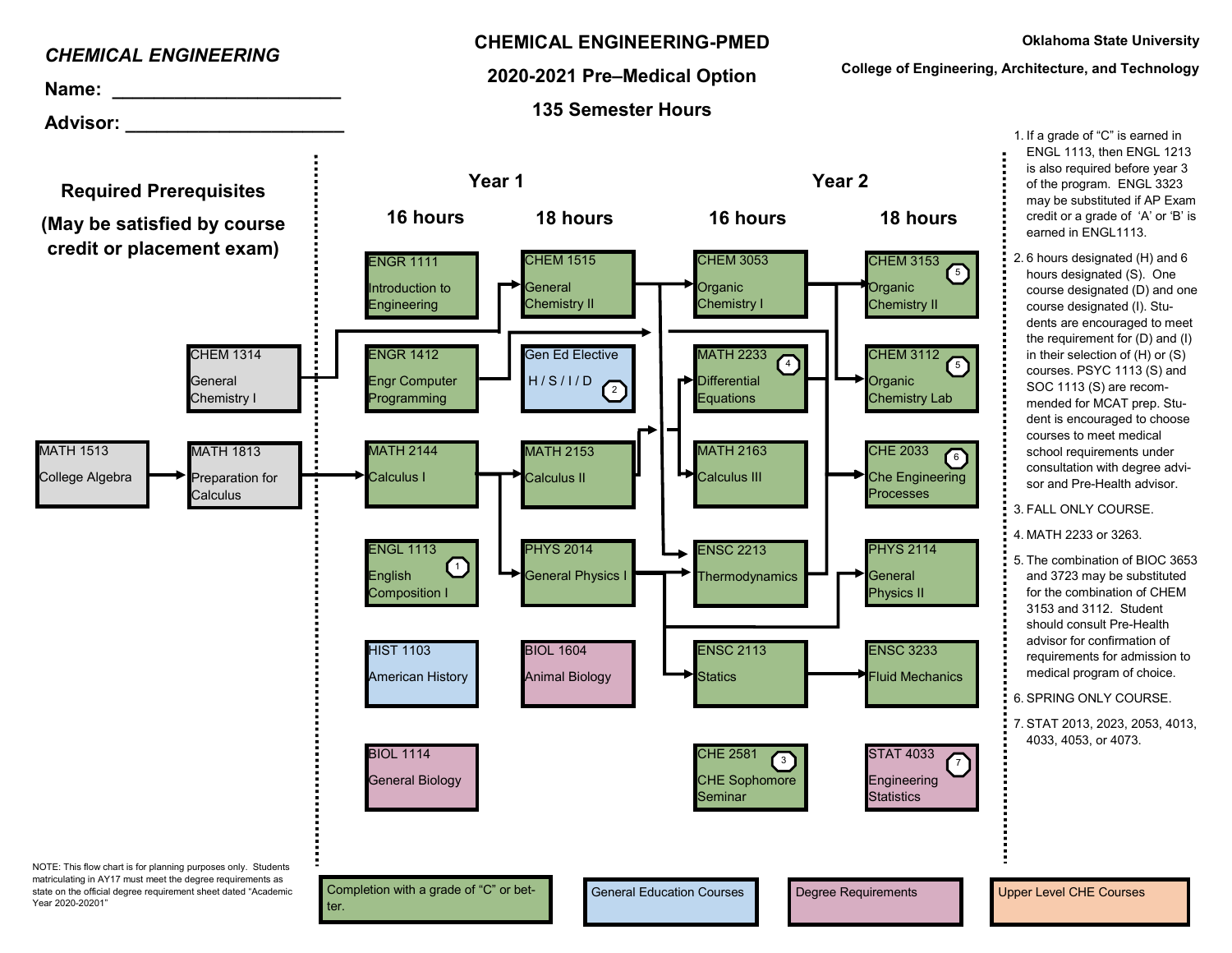